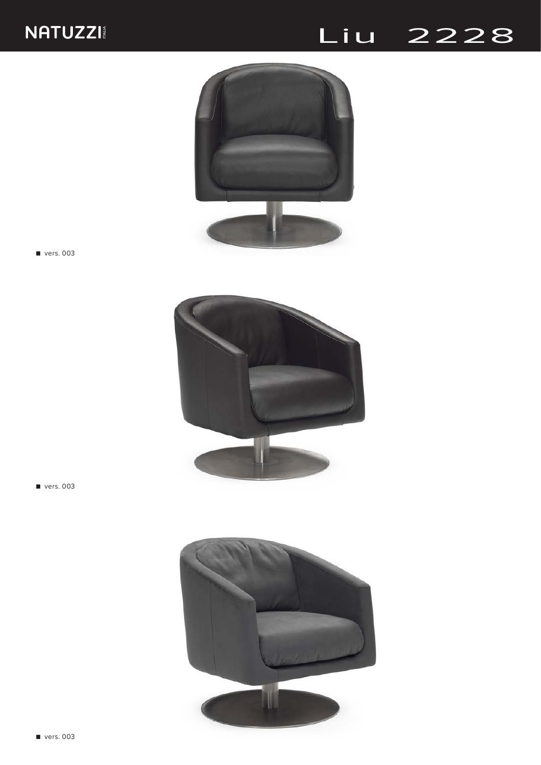## Liu 2228



■ vers. 003



■ vers. 003

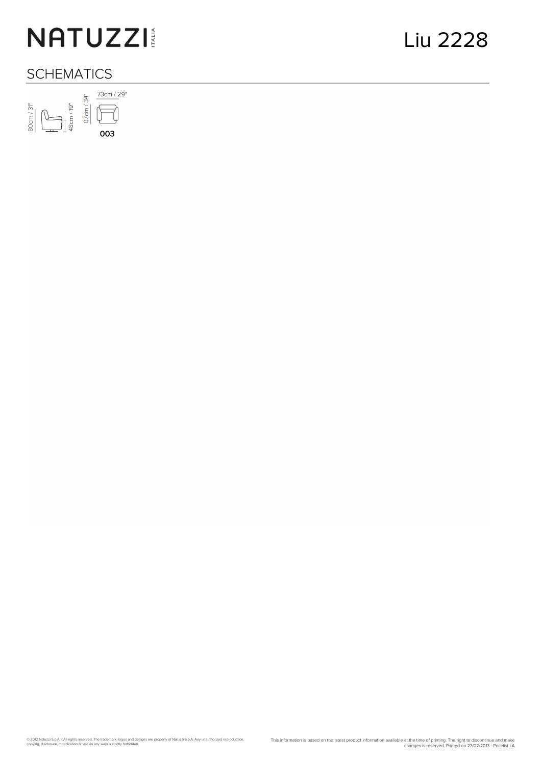# NATUZZI

### **SCHEMATICS**

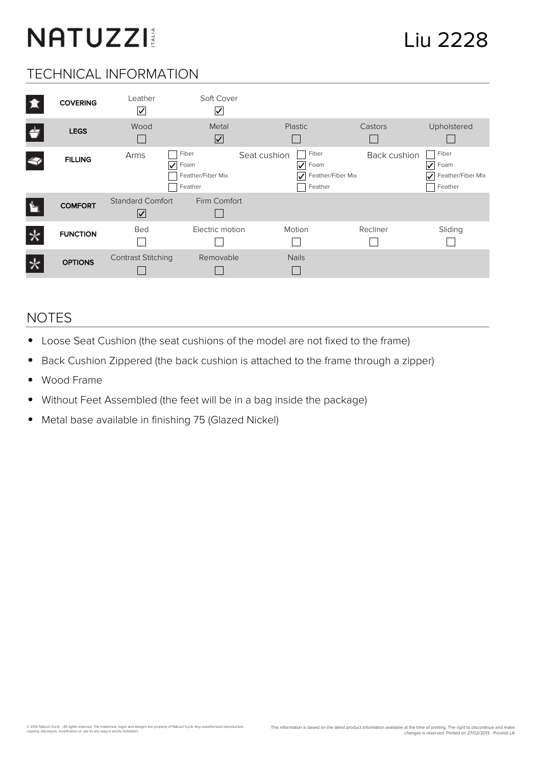# NATUZZI

### TECHNICAL INFORMATION

| <b>COVERING</b> | Leather<br>$\overline{\mathsf{v}}$              | Soft Cover<br>⊻                               |                                                                    |              |                                                    |
|-----------------|-------------------------------------------------|-----------------------------------------------|--------------------------------------------------------------------|--------------|----------------------------------------------------|
| <b>LEGS</b>     | Wood                                            | Metal<br>⊻                                    | <b>Plastic</b>                                                     | Castors      | Upholstered                                        |
| <b>FILLING</b>  | Arms<br>$\vert\mathcal{V}\vert$                 | Fiber<br>Foam<br>Feather/Fiber Mix<br>Feather | Fiber<br>Seat cushion<br>Foam<br>V<br>Feather/Fiber Mix<br>Feather | Back cushion | Fiber<br>Foam<br>V<br>Feather/Fiber Mix<br>Feather |
| <b>COMFORT</b>  | <b>Standard Comfort</b><br>$\boxed{\checkmark}$ | Firm Comfort                                  |                                                                    |              |                                                    |
| <b>FUNCTION</b> | Bed                                             | Electric motion                               | Motion                                                             | Recliner     | Sliding                                            |
| <b>OPTIONS</b>  | <b>Contrast Stitching</b>                       | Removable                                     | <b>Nails</b>                                                       |              |                                                    |

#### NOTES

- Loose Seat Cushion (the seat cushions of the model are not fixed to the frame)  $\bullet$
- Back Cushion Zippered (the back cushion is attached to the frame through a zipper)  $\bullet$
- Wood Frame  $\bullet$
- Without Feet Assembled (the feet will be in a bag inside the package)  $\bullet$
- $\bullet$ Metal base available in finishing 75 (Glazed Nickel)